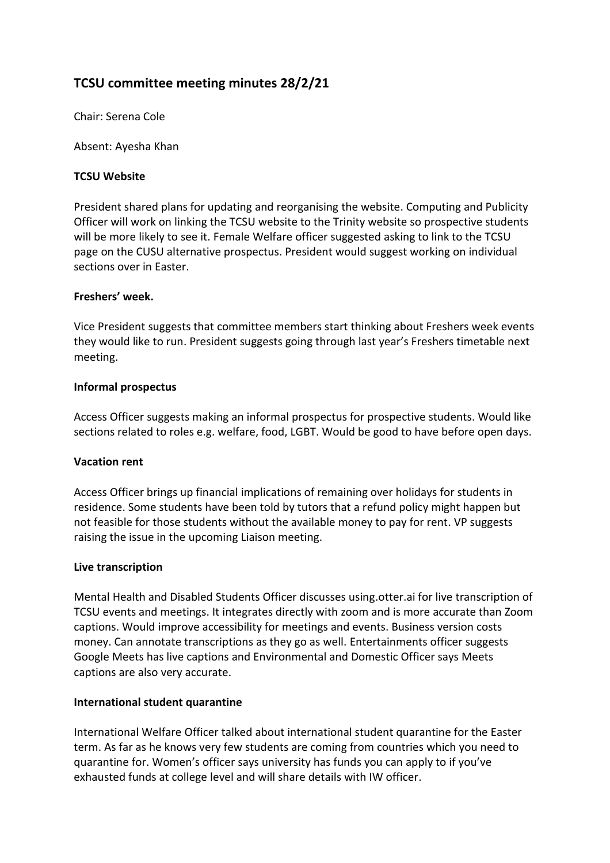# **TCSU committee meeting minutes 28/2/21**

Chair: Serena Cole

Absent: Ayesha Khan

## **TCSU Website**

President shared plans for updating and reorganising the website. Computing and Publicity Officer will work on linking the TCSU website to the Trinity website so prospective students will be more likely to see it. Female Welfare officer suggested asking to link to the TCSU page on the CUSU alternative prospectus. President would suggest working on individual sections over in Easter.

#### **Freshers' week.**

Vice President suggests that committee members start thinking about Freshers week events they would like to run. President suggests going through last year's Freshers timetable next meeting.

#### **Informal prospectus**

Access Officer suggests making an informal prospectus for prospective students. Would like sections related to roles e.g. welfare, food, LGBT. Would be good to have before open days.

#### **Vacation rent**

Access Officer brings up financial implications of remaining over holidays for students in residence. Some students have been told by tutors that a refund policy might happen but not feasible for those students without the available money to pay for rent. VP suggests raising the issue in the upcoming Liaison meeting.

#### **Live transcription**

Mental Health and Disabled Students Officer discusses using.otter.ai for live transcription of TCSU events and meetings. It integrates directly with zoom and is more accurate than Zoom captions. Would improve accessibility for meetings and events. Business version costs money. Can annotate transcriptions as they go as well. Entertainments officer suggests Google Meets has live captions and Environmental and Domestic Officer says Meets captions are also very accurate.

#### **International student quarantine**

International Welfare Officer talked about international student quarantine for the Easter term. As far as he knows very few students are coming from countries which you need to quarantine for. Women's officer says university has funds you can apply to if you've exhausted funds at college level and will share details with IW officer.